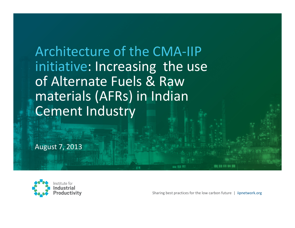Architecture of the CMA-IIP initiative: Increasing the use of Alternate Fuels & Raw materials (AFRs) in Indian Cement Industry

August 7, 2013

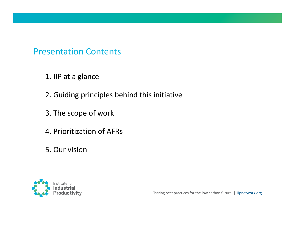#### Presentation Contents

- 1. IIP at a glance
- 2. Guiding principles behind this initiative
- 3. The scope of work
- 4. Prioritization of AFRs
- 5. Our vision

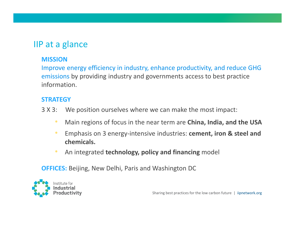#### IIP at a glance

#### MISSION

Improve energy efficiency in industry, enhance productivity, and reduce GHG emissions by providing industry and governments access to best practice information.

#### **STRATEGY**

- 3 X 3: We position ourselves where we can make the most impact:
	- $\bullet$ Main regions of focus in the near term are China, India, and the USA
	- $\bullet$  Emphasis on 3 energy-intensive industries: cement, iron & steel and chemicals.
	- $\bullet$ **• An integrated technology, policy and financing** model

OFFICES: Beijing, New Delhi, Paris and Washington DC

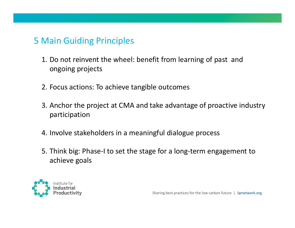#### <sup>5</sup> Main Guiding Principles

- 1. Do not reinvent the wheel: benefit from learning of past and ongoing projects
- 2. Focus actions: To achieve tangible outcomes
- 3. Anchor the project at CMA and take advantage of proactive industry participation
- 4. Involve stakeholders in a meaningful dialogue process
- 5. Think big: Phase-I to set the stage for a long-term engagement to achieve goals

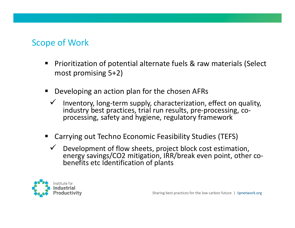## Scope of Work

- $\begin{array}{c} \hline \end{array}$  Prioritization of potential alternate fuels & raw materials (Select most promising 5+2)
- Developing an action plan for the chosen AFRs
	- $\checkmark$  Inventory, long-term supply, characterization, effect on quality, industry best practices, trial run results, pre-processing, coprocessing, safety and hygiene, regulatory framework
- Carrying out Techno Economic Feasibility Studies (TEFS)
	- $\checkmark$  Development of flow sheets, project block cost estimation, energy savings/CO2 mitigation, IRR/break even point, other cobenefits etc Identification of plants

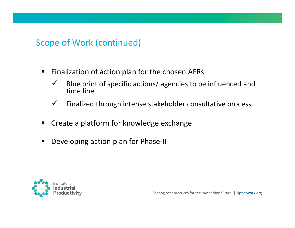### Scope of Work (continued)

- $\blacksquare$  Finalization of action plan for the chosen AFRs
	- $\checkmark$  Blue print of specific actions/ agencies to be influenced and time line
	- $\checkmark$ Finalized through intense stakeholder consultative process
- $\blacksquare$ Create a platform for knowledge exchange
- $\blacksquare$ Developing action plan for Phase-II

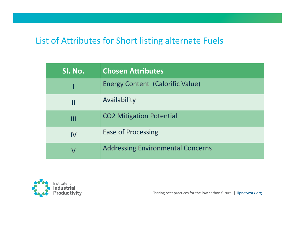#### List of Attributes for Short listing alternate Fuels

| Sl. No. | <b>Chosen Attributes</b>                 |
|---------|------------------------------------------|
|         | Energy Content (Calorific Value)         |
| Ш       | Availability                             |
| Ш       | <b>CO2 Mitigation Potential</b>          |
| IV      | <b>Ease of Processing</b>                |
|         | <b>Addressing Environmental Concerns</b> |

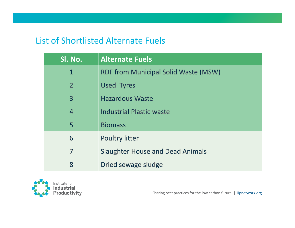#### List of Shortlisted Alternate Fuels

| SI. No.        | <b>Alternate Fuels</b>                      |
|----------------|---------------------------------------------|
| 1              | <b>RDF from Municipal Solid Waste (MSW)</b> |
| $\overline{2}$ | <b>Used Tyres</b>                           |
| $\overline{3}$ | <b>Hazardous Waste</b>                      |
| $\overline{4}$ | <b>Industrial Plastic waste</b>             |
| 5              | <b>Biomass</b>                              |
| 6              | <b>Poultry litter</b>                       |
| 7              | <b>Slaughter House and Dead Animals</b>     |
| 8              | Dried sewage sludge                         |

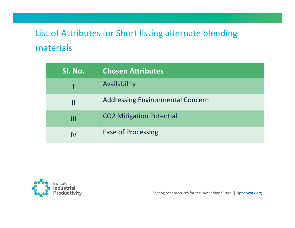## List of Attributes for Short listing alternate blending materials

| Sl. No. | <b>Chosen Attributes</b>                |
|---------|-----------------------------------------|
|         | Availability                            |
| Ш       | <b>Addressing Environmental Concern</b> |
|         | <b>CO2 Mitigation Potential</b>         |
| IV      | <b>Ease of Processing</b>               |

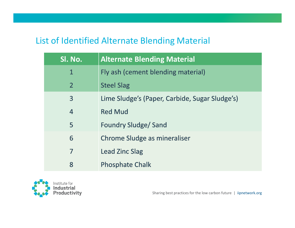#### List of Identified Alternate Blending Material

| Sl. No.        | <b>Alternate Blending Material</b>             |
|----------------|------------------------------------------------|
| $\mathbf{1}$   | Fly ash (cement blending material)             |
| $\overline{2}$ | <b>Steel Slag</b>                              |
| 3              | Lime Sludge's (Paper, Carbide, Sugar Sludge's) |
| $\overline{4}$ | <b>Red Mud</b>                                 |
| 5              | <b>Foundry Sludge/Sand</b>                     |
| 6              | Chrome Sludge as mineraliser                   |
| 7              | <b>Lead Zinc Slag</b>                          |
| 8              | <b>Phosphate Chalk</b>                         |

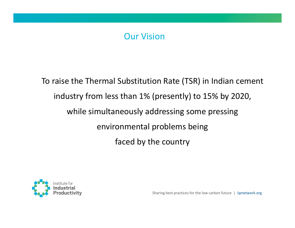### Our Vision

To raise the Thermal Substitution Rate (TSR) in Indian cementindustry from less than 1% (presently) to 15% by 2020, while simultaneously addressing some pressingenvironmental problems being faced by the country